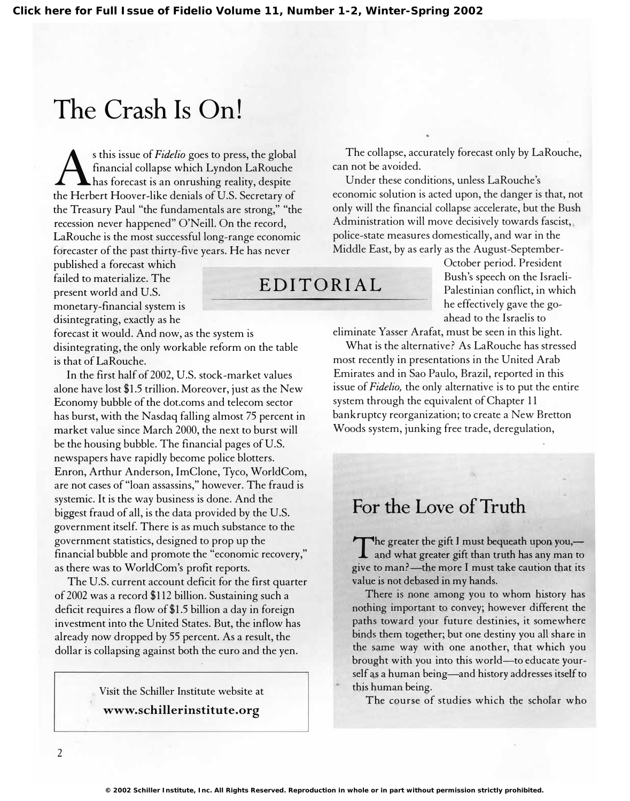## The Crash Is On!

 $\boldsymbol{\mathrm{A}}$ s this issue of *Fidelio* goes to press, the global financial collapse which Lyndon LaRouche has forecast is an onrushing reality, despite the Herbert Hoover-like denials of U.S. Secretary of the Treasury Paul "the fundamentals are strong," "the recession never happened" O'Neill. On the record, LaRouche is the most successful long-range economic forecaster of the past thirty-five years. He has never

failed to materialize. The present world and U.S. monetary-financial system is disintegrating, exactly as he ahead to the Israelis to ahead to the Israelis to

forecast it would. And now, as the system is disintegrating, the only workable reform on the table is that of LaRouche.

In the first half of 2002, U.S. stock-market values alone have lost \$1.5 trillion. Moreover, just as the New Economy bubble of the dot.coms and telecom sector has burst, with the Nasdaq falling almost 75 percent in market value since March 2000, the next to burst will be the housing bubble. The financial pages of U.S. newspapers have rapidly become police blotters. Enron, Arthur Anderson, ImClone, Tyco, WorldCom, are not cases of "loan assassins," however. The fraud is systemic. It is the way business is done. And the biggest fraud of all, is the data provided by the U.S. government itself. There is as much substance to the government statistics, designed to prop up the financial bubble and promote the "economic recovery," as there was to WorldCom's profit reports.

The U.S. current account deficit for the first quarter of2002 was a record \$112 billion. Sustaining such a deficit requires a flow of\$1.5 billion a day in foreign investment into the United States. But, the inflow has already now dropped by 55 percent. As a result, the dollar is collapsing against both the euro and the yen.

> Visit the Schiller Institute website at www.schillerinstitute.org

The collapse, accurately forecast only by LaRouche, can not be avoided.

Under these conditions, unless LaRouche's economic solution is acted upon, the danger is that, not only will the financial collapse accelerate, but the Bush Administration will move decisively towards fascist,. police-state measures domestically, and war in the Middle East, by as early as the August-September-

published a forecast which October period. President EDITORIAL Bush's speech on the Israeli-Palestinian conflict, in which he effectively gave the go-

eliminate Yasser Arafat, must be seen in this light.

What is the alternative? As LaRouche has stressed most recently in presentations in the United Arab Emirates and in Sao Paulo, Brazil, reported in this issue of *Fidelio*, the only alternative is to put the entire system through the equivalent of Chapter 11 bankruptcy reorganization; to create a New Bretton Woods system, junking free trade, deregulation,

## For the Love of Truth

The greater the gift I must bequeath upon you,— $\Gamma$  and what greater gift than truth has any man to The greater the gift I must bequeath upon you, give to man?—the more I must take caution that its value is not debased in my hands.

There is none among you to whom history has nothing important to convey; however different the paths toward your future destinies, it somewhere binds them together; but one destiny you all share in the same way with one another, that which you brought with you into this world-to educate yourself as a human being-and history addresses itself to this human being.

The course of studies which the scholar who